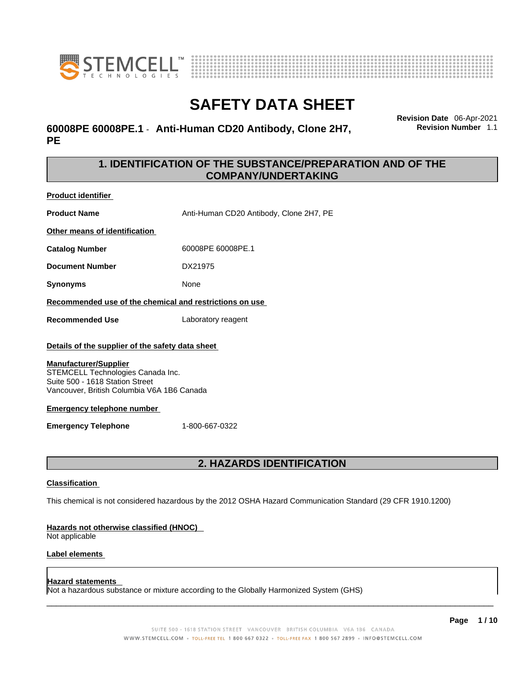



### **60008PE 60008PE.1** - **Anti-Human CD20 Antibody, Clone 2H7, PE**

**Revision Date** 06-Apr-2021 **Revision Number** 1.1

### **1. IDENTIFICATION OF THE SUBSTANCE/PREPARATION AND OF THE COMPANY/UNDERTAKING**

**Product identifier**

**Product Name** Anti-Human CD20 Antibody, Clone 2H7, PE

**Other means of identification**

**Catalog Number** 60008PE 60008PE.1

**Document Number** DX21975

**Synonyms** None

**Recommended use of the chemical and restrictions on use**

**Recommended Use** Laboratory reagent

### **Details of the supplier of the safety data sheet**

### **Manufacturer/Supplier**

STEMCELL Technologies Canada Inc. Suite 500 - 1618 Station Street Vancouver, British Columbia V6A 1B6 Canada

### **Emergency telephone number**

**Emergency Telephone** 1-800-667-0322

### **2. HAZARDS IDENTIFICATION**

### **Classification**

This chemical is not considered hazardous by the 2012 OSHA Hazard Communication Standard (29 CFR 1910.1200)

### **Hazards not otherwise classified (HNOC)**

Not applicable

### **Label elements**

### **Hazard statements**

Not a hazardous substance or mixture according to the Globally Harmonized System (GHS)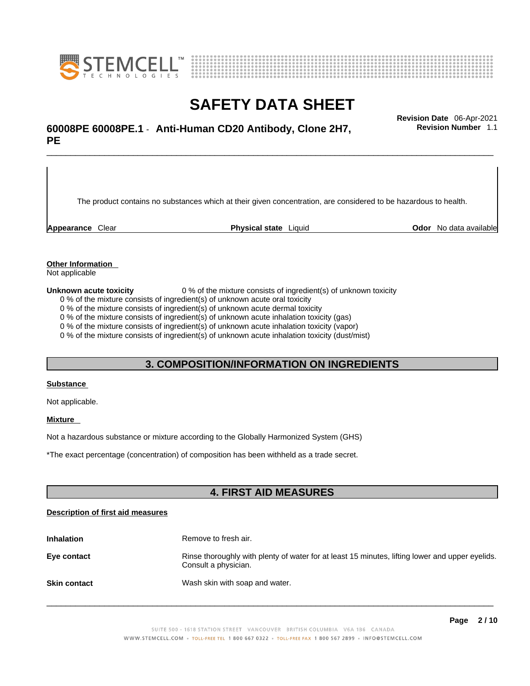



## \_\_\_\_\_\_\_\_\_\_\_\_\_\_\_\_\_\_\_\_\_\_\_\_\_\_\_\_\_\_\_\_\_\_\_\_\_\_\_\_\_\_\_\_\_\_\_\_\_\_\_\_\_\_\_\_\_\_\_\_\_\_\_\_\_\_\_\_\_\_\_\_\_\_\_\_\_\_\_\_\_\_\_\_\_\_\_\_\_\_\_\_\_ **Revision Date** 06-Apr-2021 **60008PE 60008PE.1** - **Anti-Human CD20 Antibody, Clone 2H7, PE**

The product contains no substances which at their given concentration, are considered to be hazardous to health.

**Appearance** Clear **Physical state** Liquid **Odor** No data available

**Revision Number** 1.1

**Other Information** 

Not applicable

**Unknown acute toxicity** 0 % of the mixture consists of ingredient(s) of unknown toxicity

0 % of the mixture consists of ingredient(s) of unknown acute oral toxicity

0 % of the mixture consists of ingredient(s) of unknown acute dermal toxicity

0 % of the mixture consists of ingredient(s) of unknown acute inhalation toxicity (gas)

0 % of the mixture consists of ingredient(s) of unknown acute inhalation toxicity (vapor)

0 % of the mixture consists of ingredient(s) of unknown acute inhalation toxicity (dust/mist)

### **3. COMPOSITION/INFORMATION ON INGREDIENTS**

#### **Substance**

Not applicable.

### **Mixture**

Not a hazardous substance or mixture according to the Globally Harmonized System (GHS)

\*The exact percentage (concentration) ofcomposition has been withheld as a trade secret.

### **4. FIRST AID MEASURES**

### **Description of first aid measures**

| <b>Inhalation</b>   | Remove to fresh air.                                                                                                    |
|---------------------|-------------------------------------------------------------------------------------------------------------------------|
| Eye contact         | Rinse thoroughly with plenty of water for at least 15 minutes, lifting lower and upper eyelids.<br>Consult a physician. |
| <b>Skin contact</b> | Wash skin with soap and water.                                                                                          |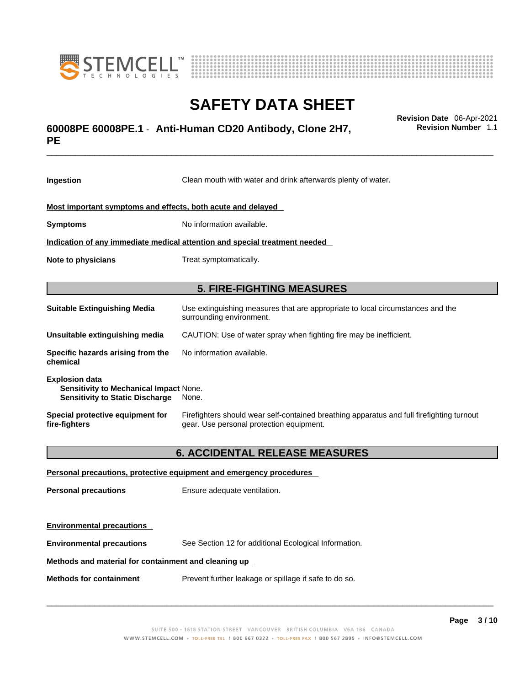



## \_\_\_\_\_\_\_\_\_\_\_\_\_\_\_\_\_\_\_\_\_\_\_\_\_\_\_\_\_\_\_\_\_\_\_\_\_\_\_\_\_\_\_\_\_\_\_\_\_\_\_\_\_\_\_\_\_\_\_\_\_\_\_\_\_\_\_\_\_\_\_\_\_\_\_\_\_\_\_\_\_\_\_\_\_\_\_\_\_\_\_\_\_ **Revision Date** 06-Apr-2021 **60008PE 60008PE.1** - **Anti-Human CD20 Antibody, Clone 2H7, PE**

**Ingestion** Clean mouth with water and drink afterwards plenty of water. **Most important symptoms and effects, both acute and delayed Symptoms** No information available. **Indication of any immediate medical attention and special treatment needed Note to physicians** Treat symptomatically. **5. FIRE-FIGHTING MEASURES Suitable Extinguishing Media** Use extinguishing measures that are appropriate to local circumstances and the surrounding environment. **Unsuitable extinguishing media** CAUTION: Use of water spray when fighting fire may be inefficient. **Specific hazards arising from the chemical** No information available. **Explosion data Sensitivity to Mechanical Impact** None. **Sensitivity to Static Discharge** None. **Special protective equipment for fire-fighters** Firefighters should wear self-contained breathing apparatus and full firefighting turnout gear. Use personal protection equipment.

### **6. ACCIDENTAL RELEASE MEASURES**

| Personal precautions, protective equipment and emergency procedures |                                                       |  |
|---------------------------------------------------------------------|-------------------------------------------------------|--|
| <b>Personal precautions</b>                                         | Ensure adequate ventilation.                          |  |
| <b>Environmental precautions</b>                                    |                                                       |  |
| <b>Environmental precautions</b>                                    | See Section 12 for additional Ecological Information. |  |
| Methods and material for containment and cleaning up                |                                                       |  |
| <b>Methods for containment</b>                                      | Prevent further leakage or spillage if safe to do so. |  |

 $\_$  ,  $\_$  ,  $\_$  ,  $\_$  ,  $\_$  ,  $\_$  ,  $\_$  ,  $\_$  ,  $\_$  ,  $\_$  ,  $\_$  ,  $\_$  ,  $\_$  ,  $\_$  ,  $\_$  ,  $\_$  ,  $\_$  ,  $\_$  ,  $\_$  ,  $\_$  ,  $\_$  ,  $\_$  ,  $\_$  ,  $\_$  ,  $\_$  ,  $\_$  ,  $\_$  ,  $\_$  ,  $\_$  ,  $\_$  ,  $\_$  ,  $\_$  ,  $\_$  ,  $\_$  ,  $\_$  ,  $\_$  ,  $\_$  ,

**Revision Number** 1.1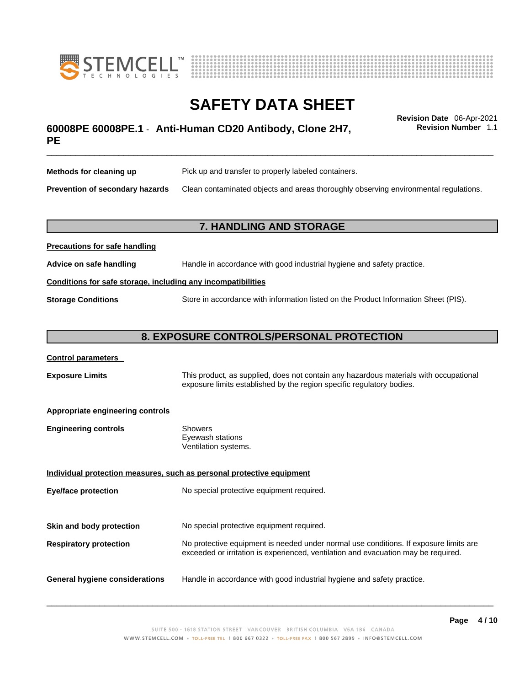



## \_\_\_\_\_\_\_\_\_\_\_\_\_\_\_\_\_\_\_\_\_\_\_\_\_\_\_\_\_\_\_\_\_\_\_\_\_\_\_\_\_\_\_\_\_\_\_\_\_\_\_\_\_\_\_\_\_\_\_\_\_\_\_\_\_\_\_\_\_\_\_\_\_\_\_\_\_\_\_\_\_\_\_\_\_\_\_\_\_\_\_\_\_ **Revision Date** 06-Apr-2021 **60008PE 60008PE.1** - **Anti-Human CD20 Antibody, Clone 2H7, PE**

**Revision Number** 1.1

| Methods for cleaning up         | Pick up and transfer to properly labeled containers.                                 |
|---------------------------------|--------------------------------------------------------------------------------------|
| Prevention of secondary hazards | Clean contaminated objects and areas thoroughly observing environmental regulations. |

### **7. HANDLING AND STORAGE**

| <b>FIGURIOUS IOI SAIG HAHUIHIY</b>                           |                                                                                     |  |
|--------------------------------------------------------------|-------------------------------------------------------------------------------------|--|
| Advice on safe handling                                      | Handle in accordance with good industrial hygiene and safety practice.              |  |
| Conditions for safe storage, including any incompatibilities |                                                                                     |  |
| <b>Storage Conditions</b>                                    | Store in accordance with information listed on the Product Information Sheet (PIS). |  |

### **8. EXPOSURE CONTROLS/PERSONAL PROTECTION**

### **Control parameters**

**Precautions for safe handling**

**Exposure Limits** This product, as supplied, does not contain any hazardous materials with occupational exposure limits established by the region specific regulatory bodies.

### **Appropriate engineering controls**

| <b>Engineering controls</b> | Showers              |
|-----------------------------|----------------------|
|                             | Eyewash stations     |
|                             | Ventilation systems. |

**Individual protection measures, such as personal protective equipment Eye/face protection** No special protective equipment required. **Skin and body protection** No special protective equipment required. **Respiratory protection** No protective equipment is needed under normal use conditions. If exposure limits are exceeded or irritation is experienced, ventilation and evacuation may be required. **General hygiene considerations** Handle in accordance with good industrial hygiene and safety practice.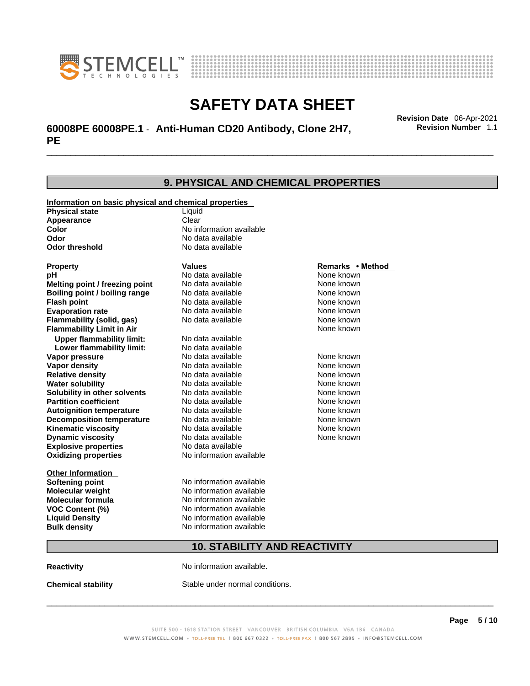



## \_\_\_\_\_\_\_\_\_\_\_\_\_\_\_\_\_\_\_\_\_\_\_\_\_\_\_\_\_\_\_\_\_\_\_\_\_\_\_\_\_\_\_\_\_\_\_\_\_\_\_\_\_\_\_\_\_\_\_\_\_\_\_\_\_\_\_\_\_\_\_\_\_\_\_\_\_\_\_\_\_\_\_\_\_\_\_\_\_\_\_\_\_ **Revision Date** 06-Apr-2021 **60008PE 60008PE.1** - **Anti-Human CD20 Antibody, Clone 2H7, PE**

**9. PHYSICAL AND CHEMICAL PROPERTIES Information on basic physical and chemical properties Physical state** Liquid **Appearance** Clear<br> **Color** No int **Color Color Color Color Color Color Color No** data available **Odor Odor No data available**<br> **Odor threshold No data available No data available Explosive properties** No data available **Oxidizing properties** No information available **Other Information Softening point** No information available **Molecular weight** No information available **Molecular formula** No information available<br>**VOC Content (%)** No information available **VOC** Content (%) **Liquid Density** No information available **Bulk density No information available Property CONSCRUTE IN THE VALUES REMARKS • Method pH** No data available None known **Melting point / freezing point Boiling point / boiling range Modata available None known Flash point Communist Communist Communist Communist Communist Communist Communist Communist Communist Communist Communist Communist Communist Communist Communist Communist Communist Communist Communist Communist Communi Evaporation rate Configure 1 Accord None Configure 1 Accord None known**<br> **Elammability (solid. gas)** No data available **None known** None known **Flammability (solid, gas)** No data available None known **Flammability Limit in Air None known None known Upper flammability limit:** No data available **Lower flammability limit:** No data available **Vapor pressure No data available None known Vapor density Notata available None known Relative density No data available None known Water solubility No data available Mone known**<br> **Solubility in other solvents** No data available None known None known **Solubility in other solvents** No data available **None known**<br> **Partition coefficient** No data available **None known**<br>
None known **Partition coefficient**<br>**Autoignition temperature** No data available **Autoignition temperature No data available None known**<br> **Decomposition temperature** No data available **None known**<br>
None known **Decomposition temperature** No data available None known<br> **Kinematic viscosity** No data available None known **Kinematic viscosity** No data available<br> **Dynamic viscosity** No data available **Dynamic viscosity** None known

### **10. STABILITY AND REACTIVITY**

**Reactivity No information available.** 

**Chemical stability** Stable under normal conditions.

 $\_$  ,  $\_$  ,  $\_$  ,  $\_$  ,  $\_$  ,  $\_$  ,  $\_$  ,  $\_$  ,  $\_$  ,  $\_$  ,  $\_$  ,  $\_$  ,  $\_$  ,  $\_$  ,  $\_$  ,  $\_$  ,  $\_$  ,  $\_$  ,  $\_$  ,  $\_$  ,  $\_$  ,  $\_$  ,  $\_$  ,  $\_$  ,  $\_$  ,  $\_$  ,  $\_$  ,  $\_$  ,  $\_$  ,  $\_$  ,  $\_$  ,  $\_$  ,  $\_$  ,  $\_$  ,  $\_$  ,  $\_$  ,  $\_$  ,

**Revision Number** 1.1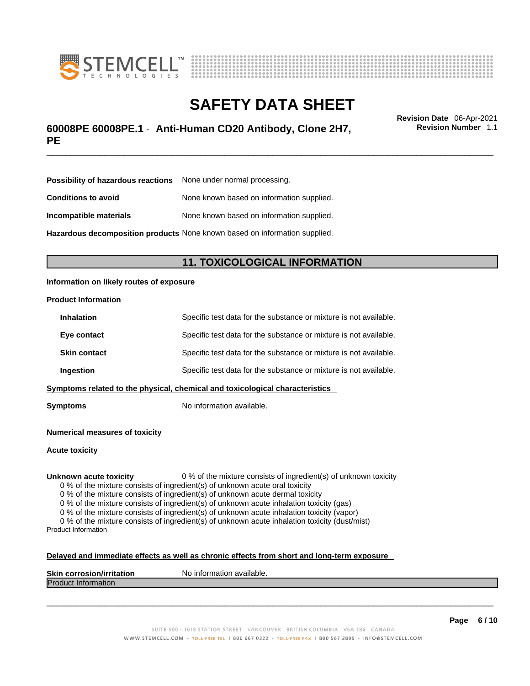



## \_\_\_\_\_\_\_\_\_\_\_\_\_\_\_\_\_\_\_\_\_\_\_\_\_\_\_\_\_\_\_\_\_\_\_\_\_\_\_\_\_\_\_\_\_\_\_\_\_\_\_\_\_\_\_\_\_\_\_\_\_\_\_\_\_\_\_\_\_\_\_\_\_\_\_\_\_\_\_\_\_\_\_\_\_\_\_\_\_\_\_\_\_ **Revision Date** 06-Apr-2021 **60008PE 60008PE.1** - **Anti-Human CD20 Antibody, Clone 2H7, PE**

**Revision Number** 1.1

| <b>Possibility of hazardous reactions</b> None under normal processing.    |                                           |
|----------------------------------------------------------------------------|-------------------------------------------|
| <b>Conditions to avoid</b>                                                 | None known based on information supplied. |
| Incompatible materials                                                     | None known based on information supplied. |
| Hazardous decomposition products None known based on information supplied. |                                           |

### **11. TOXICOLOGICAL INFORMATION**

### **Information on likely routes of exposure**

#### **Product Information**

| <b>Inhalation</b>                                                            | Specific test data for the substance or mixture is not available. |
|------------------------------------------------------------------------------|-------------------------------------------------------------------|
| Eye contact                                                                  | Specific test data for the substance or mixture is not available. |
| <b>Skin contact</b>                                                          | Specific test data for the substance or mixture is not available. |
| Ingestion                                                                    | Specific test data for the substance or mixture is not available. |
| Symptoms related to the physical, chemical and toxicological characteristics |                                                                   |

**Symptoms** No information available.

**Numerical measures of toxicity**

**Acute toxicity**

**Unknown acute toxicity** 0 % of the mixture consists of ingredient(s) of unknown toxicity

0 % of the mixture consists of ingredient(s) of unknown acute oral toxicity

0 % of the mixture consists of ingredient(s) of unknown acute dermal toxicity

0 % of the mixture consists of ingredient(s) of unknown acute inhalation toxicity (gas)

0 % of the mixture consists of ingredient(s) of unknown acute inhalation toxicity (vapor)

0 % of the mixture consists of ingredient(s) of unknown acute inhalation toxicity (dust/mist) Product Information

#### **Delayed and immediate effects as well as chronic effects from short and long-term exposure**

| <b>Skin corrosion</b><br><b>ion/irritation</b> | N٥<br>`available.<br>ıntorn<br>nation |
|------------------------------------------------|---------------------------------------|
| Produc<br>≅πποπmation                          |                                       |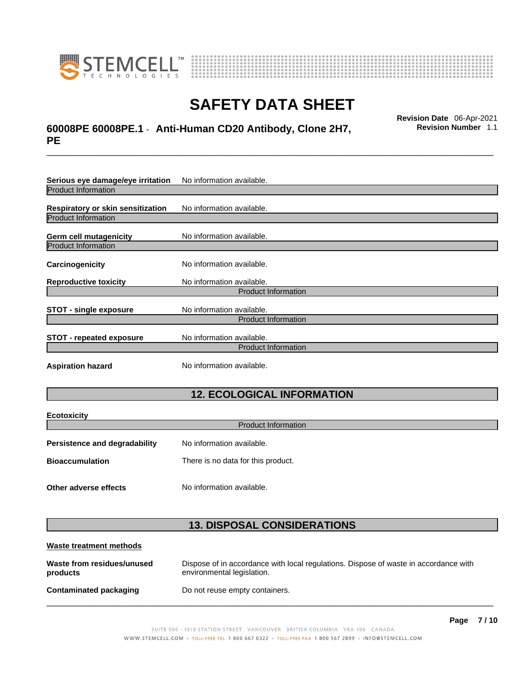

**Ecotoxicity** 



## **SAFETY DATA SHEET**

## \_\_\_\_\_\_\_\_\_\_\_\_\_\_\_\_\_\_\_\_\_\_\_\_\_\_\_\_\_\_\_\_\_\_\_\_\_\_\_\_\_\_\_\_\_\_\_\_\_\_\_\_\_\_\_\_\_\_\_\_\_\_\_\_\_\_\_\_\_\_\_\_\_\_\_\_\_\_\_\_\_\_\_\_\_\_\_\_\_\_\_\_\_ **Revision Date** 06-Apr-2021 **60008PE 60008PE.1** - **Anti-Human CD20 Antibody, Clone 2H7, PE**

**Revision Number** 1.1

| Serious eye damage/eye irritation | No information available.  |  |
|-----------------------------------|----------------------------|--|
| <b>Product Information</b>        |                            |  |
| Respiratory or skin sensitization | No information available.  |  |
| <b>Product Information</b>        |                            |  |
| <b>Germ cell mutagenicity</b>     | No information available.  |  |
| <b>Product Information</b>        |                            |  |
| Carcinogenicity                   | No information available.  |  |
| <b>Reproductive toxicity</b>      | No information available.  |  |
|                                   | <b>Product Information</b> |  |
| <b>STOT - single exposure</b>     | No information available.  |  |
|                                   | <b>Product Information</b> |  |
| <b>STOT - repeated exposure</b>   | No information available.  |  |
| <b>Product Information</b>        |                            |  |
| <b>Aspiration hazard</b>          | No information available.  |  |

## **12. ECOLOGICAL INFORMATION**

| <b>ECOLOXICILY</b><br><b>Product Information</b> |                                    |  |
|--------------------------------------------------|------------------------------------|--|
| Persistence and degradability                    | No information available.          |  |
| <b>Bioaccumulation</b>                           | There is no data for this product. |  |
| Other adverse effects                            | No information available.          |  |

### **13. DISPOSAL CONSIDERATIONS**

| Waste treatment methods                |                                                                                                                    |
|----------------------------------------|--------------------------------------------------------------------------------------------------------------------|
| Waste from residues/unused<br>products | Dispose of in accordance with local regulations. Dispose of waste in accordance with<br>environmental legislation. |
| Contaminated packaging                 | Do not reuse empty containers.                                                                                     |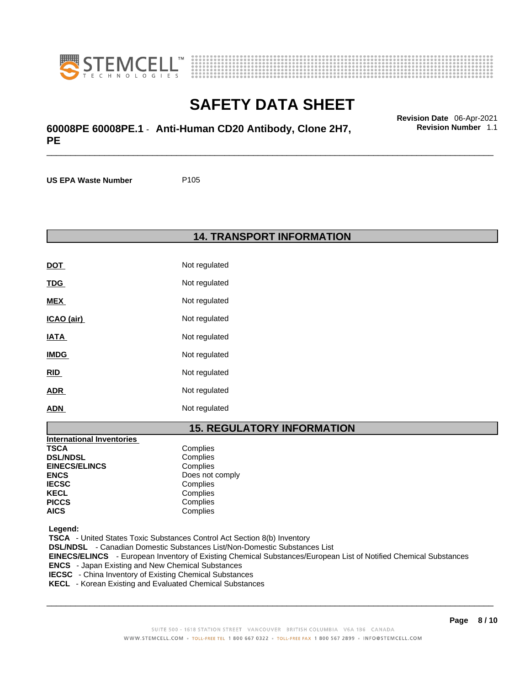



\_\_\_\_\_\_\_\_\_\_\_\_\_\_\_\_\_\_\_\_\_\_\_\_\_\_\_\_\_\_\_\_\_\_\_\_\_\_\_\_\_\_\_\_\_\_\_\_\_\_\_\_\_\_\_\_\_\_\_\_\_\_\_\_\_\_\_\_\_\_\_\_\_\_\_\_\_\_\_\_\_\_\_\_\_\_\_\_\_\_\_\_\_ **Revision Date** 06-Apr-2021 **60008PE 60008PE.1** - **Anti-Human CD20 Antibody, Clone 2H7, PE** 

**US EPA Waste Number** P105

**14. TRANSPORT INFORMATION** 

| DOT         | Not regulated |
|-------------|---------------|
| <u>TDG</u>  | Not regulated |
| <b>MEX</b>  | Not regulated |
| ICAO (air)  | Not regulated |
| IATA        | Not regulated |
| <b>IMDG</b> | Not regulated |
| <u>RID</u>  | Not regulated |
| <b>ADR</b>  | Not regulated |
| <b>ADN</b>  | Not regulated |

### **15. REGULATORY INFORMATION**

| <b>International Inventories</b> |                 |
|----------------------------------|-----------------|
| <b>TSCA</b>                      | Complies        |
| <b>DSL/NDSL</b>                  | Complies        |
| <b>EINECS/ELINCS</b>             | Complies        |
| <b>ENCS</b>                      | Does not comply |
| <b>IECSC</b>                     | Complies        |
| <b>KECL</b>                      | Complies        |
| <b>PICCS</b>                     | Complies        |
| <b>AICS</b>                      | Complies        |

 **Legend:** 

 **TSCA** - United States Toxic Substances Control Act Section 8(b) Inventory  **DSL/NDSL** - Canadian Domestic Substances List/Non-Domestic Substances List  **EINECS/ELINCS** - European Inventory of Existing Chemical Substances/European List of Notified Chemical Substances  **ENCS** - Japan Existing and New Chemical Substances  **IECSC** - China Inventory of Existing Chemical Substances  **KECL** - Korean Existing and Evaluated Chemical Substances

 $\_$  ,  $\_$  ,  $\_$  ,  $\_$  ,  $\_$  ,  $\_$  ,  $\_$  ,  $\_$  ,  $\_$  ,  $\_$  ,  $\_$  ,  $\_$  ,  $\_$  ,  $\_$  ,  $\_$  ,  $\_$  ,  $\_$  ,  $\_$  ,  $\_$  ,  $\_$  ,  $\_$  ,  $\_$  ,  $\_$  ,  $\_$  ,  $\_$  ,  $\_$  ,  $\_$  ,  $\_$  ,  $\_$  ,  $\_$  ,  $\_$  ,  $\_$  ,  $\_$  ,  $\_$  ,  $\_$  ,  $\_$  ,  $\_$  ,

**Revision Number** 1.1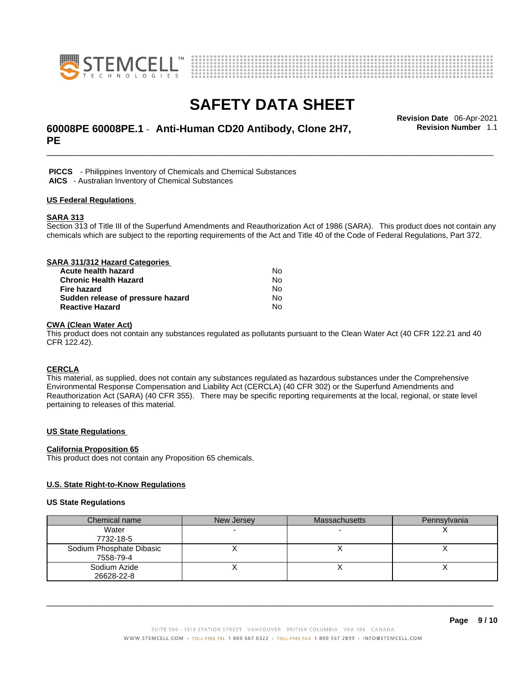



## \_\_\_\_\_\_\_\_\_\_\_\_\_\_\_\_\_\_\_\_\_\_\_\_\_\_\_\_\_\_\_\_\_\_\_\_\_\_\_\_\_\_\_\_\_\_\_\_\_\_\_\_\_\_\_\_\_\_\_\_\_\_\_\_\_\_\_\_\_\_\_\_\_\_\_\_\_\_\_\_\_\_\_\_\_\_\_\_\_\_\_\_\_ **Revision Date** 06-Apr-2021 **60008PE 60008PE.1** - **Anti-Human CD20 Antibody, Clone 2H7, PE**

**Revision Number** 1.1

 **PICCS** - Philippines Inventory of Chemicals and Chemical Substances  **AICS** - Australian Inventory of Chemical Substances

#### **US Federal Regulations**

### **SARA 313**

Section 313 of Title III of the Superfund Amendments and Reauthorization Act of 1986 (SARA). This product does not contain any chemicals which are subject to the reporting requirements of the Act and Title 40 of the Code of Federal Regulations, Part 372.

| SARA 311/312 Hazard Categories    |    |  |
|-----------------------------------|----|--|
| Acute health hazard               | No |  |
| <b>Chronic Health Hazard</b>      | No |  |
| <b>Fire hazard</b>                | No |  |
| Sudden release of pressure hazard | No |  |
| <b>Reactive Hazard</b>            | N٥ |  |

### **CWA (Clean WaterAct)**

This product does not contain any substances regulated as pollutants pursuant to the Clean Water Act (40 CFR 122.21 and 40 CFR 122.42).

### **CERCLA**

This material, as supplied, does not contain any substances regulated as hazardous substances under the Comprehensive Environmental Response Compensation and Liability Act (CERCLA) (40 CFR 302) or the Superfund Amendments and Reauthorization Act (SARA) (40 CFR 355). There may be specific reporting requirements at the local, regional, or state level pertaining to releases of this material.

### **US State Regulations**

#### **California Proposition 65**

This product does not contain any Proposition 65 chemicals.

### **U.S. State Right-to-Know Regulations**

#### **US State Regulations**

| Chemical name            | New Jersey | <b>Massachusetts</b> | Pennsylvania |
|--------------------------|------------|----------------------|--------------|
| Water                    |            |                      |              |
| 7732-18-5                |            |                      |              |
| Sodium Phosphate Dibasic |            |                      |              |
| 7558-79-4                |            |                      |              |
| Sodium Azide             |            |                      |              |
| 26628-22-8               |            |                      |              |